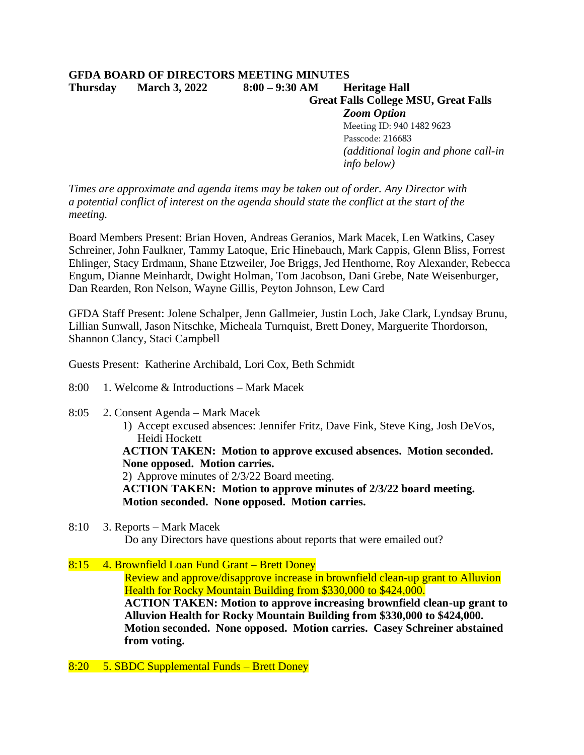## **GFDA BOARD OF DIRECTORS MEETING MINUTES Thursday March 3, 2022 8:00 – 9:30 AM Heritage Hall Great Falls College MSU, Great Falls** *Zoom Option* Meeting ID: 940 1482 9623 Passcode: 216683

*(additional login and phone call-in* 

*info below)*

*Times are approximate and agenda items may be taken out of order. Any Director with a potential conflict of interest on the agenda should state the conflict at the start of the meeting.*

Board Members Present: Brian Hoven, Andreas Geranios, Mark Macek, Len Watkins, Casey Schreiner, John Faulkner, Tammy Latoque, Eric Hinebauch, Mark Cappis, Glenn Bliss, Forrest Ehlinger, Stacy Erdmann, Shane Etzweiler, Joe Briggs, Jed Henthorne, Roy Alexander, Rebecca Engum, Dianne Meinhardt, Dwight Holman, Tom Jacobson, Dani Grebe, Nate Weisenburger, Dan Rearden, Ron Nelson, Wayne Gillis, Peyton Johnson, Lew Card

GFDA Staff Present: Jolene Schalper, Jenn Gallmeier, Justin Loch, Jake Clark, Lyndsay Brunu, Lillian Sunwall, Jason Nitschke, Micheala Turnquist, Brett Doney, Marguerite Thordorson, Shannon Clancy, Staci Campbell

Guests Present: Katherine Archibald, Lori Cox, Beth Schmidt

- 8:00 1. Welcome & Introductions Mark Macek
- 8:05 2. Consent Agenda Mark Macek
	- 1) Accept excused absences: Jennifer Fritz, Dave Fink, Steve King, Josh DeVos, Heidi Hockett

**ACTION TAKEN: Motion to approve excused absences. Motion seconded. None opposed. Motion carries.**

2) Approve minutes of 2/3/22 Board meeting.

**ACTION TAKEN: Motion to approve minutes of 2/3/22 board meeting. Motion seconded. None opposed. Motion carries.**

8:10 3. Reports – Mark Macek Do any Directors have questions about reports that were emailed out?

## 8:15 4. Brownfield Loan Fund Grant – Brett Doney

Review and approve/disapprove increase in brownfield clean-up grant to Alluvion Health for Rocky Mountain Building from \$330,000 to \$424,000.

**ACTION TAKEN: Motion to approve increasing brownfield clean-up grant to Alluvion Health for Rocky Mountain Building from \$330,000 to \$424,000. Motion seconded. None opposed. Motion carries. Casey Schreiner abstained from voting.**

8:20 5. SBDC Supplemental Funds – Brett Doney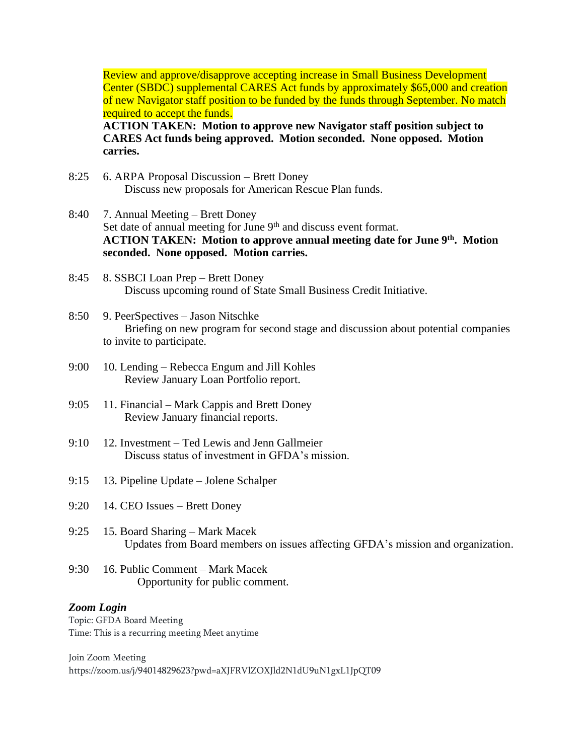Review and approve/disapprove accepting increase in Small Business Development Center (SBDC) supplemental CARES Act funds by approximately \$65,000 and creation of new Navigator staff position to be funded by the funds through September. No match required to accept the funds.

**ACTION TAKEN: Motion to approve new Navigator staff position subject to CARES Act funds being approved. Motion seconded. None opposed. Motion carries.**

- 8:25 6. ARPA Proposal Discussion Brett Doney Discuss new proposals for American Rescue Plan funds.
- 8:40 7. Annual Meeting Brett Doney Set date of annual meeting for June 9<sup>th</sup> and discuss event format. **ACTION TAKEN: Motion to approve annual meeting date for June 9th . Motion seconded. None opposed. Motion carries.**
- 8:45 8. SSBCI Loan Prep Brett Doney Discuss upcoming round of State Small Business Credit Initiative.
- 8:50 9. PeerSpectives Jason Nitschke Briefing on new program for second stage and discussion about potential companies to invite to participate.
- 9:00 10. Lending Rebecca Engum and Jill Kohles Review January Loan Portfolio report.
- 9:05 11. Financial Mark Cappis and Brett Doney Review January financial reports.
- 9:10 12. Investment Ted Lewis and Jenn Gallmeier Discuss status of investment in GFDA's mission.
- 9:15 13. Pipeline Update Jolene Schalper
- 9:20 14. CEO Issues Brett Doney
- 9:25 15. Board Sharing Mark Macek Updates from Board members on issues affecting GFDA's mission and organization.
- 9:30 16. Public Comment Mark Macek Opportunity for public comment.

## *Zoom Login*

Topic: GFDA Board Meeting Time: This is a recurring meeting Meet anytime

Join Zoom Meeting https://zoom.us/j/94014829623?pwd=aXJFRVlZOXJld2N1dU9uN1gxL1JpQT09